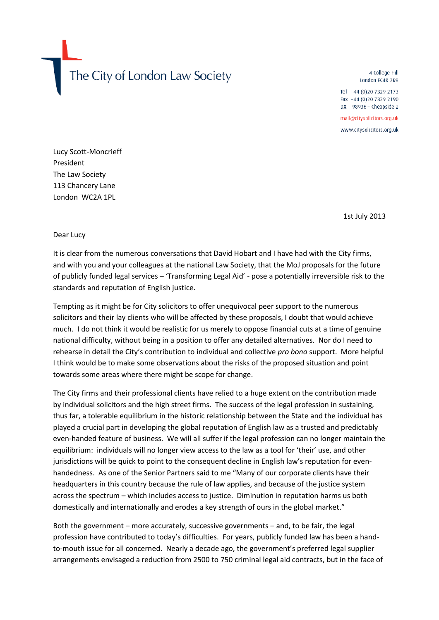The City of London Law Society

4 College Hill London EC4R 2RB

Tel +44 (0)20 7329 2173 Fax +44 (0)20 7329 2190 DX 98936 - Cheapside 2

mail@citysolicitors.org.uk www.citysolicitors.org.uk

Lucy Scott-Moncrieff President The Law Society 113 Chancery Lane London WC2A 1PL

1st July 2013

## Dear Lucy

It is clear from the numerous conversations that David Hobart and I have had with the City firms, and with you and your colleagues at the national Law Society, that the MoJ proposals for the future of publicly funded legal services – 'Transforming Legal Aid' - pose a potentially irreversible risk to the standards and reputation of English justice.

Tempting as it might be for City solicitors to offer unequivocal peer support to the numerous solicitors and their lay clients who will be affected by these proposals, I doubt that would achieve much. I do not think it would be realistic for us merely to oppose financial cuts at a time of genuine national difficulty, without being in a position to offer any detailed alternatives. Nor do I need to rehearse in detail the City's contribution to individual and collective *pro bono* support. More helpful I think would be to make some observations about the risks of the proposed situation and point towards some areas where there might be scope for change.

The City firms and their professional clients have relied to a huge extent on the contribution made by individual solicitors and the high street firms. The success of the legal profession in sustaining, thus far, a tolerable equilibrium in the historic relationship between the State and the individual has played a crucial part in developing the global reputation of English law as a trusted and predictably even-handed feature of business. We will all suffer if the legal profession can no longer maintain the equilibrium: individuals will no longer view access to the law as a tool for 'their' use, and other jurisdictions will be quick to point to the consequent decline in English law's reputation for evenhandedness. As one of the Senior Partners said to me "Many of our corporate clients have their headquarters in this country because the rule of law applies, and because of the justice system across the spectrum – which includes access to justice. Diminution in reputation harms us both domestically and internationally and erodes a key strength of ours in the global market."

Both the government – more accurately, successive governments – and, to be fair, the legal profession have contributed to today's difficulties. For years, publicly funded law has been a handto-mouth issue for all concerned. Nearly a decade ago, the government's preferred legal supplier arrangements envisaged a reduction from 2500 to 750 criminal legal aid contracts, but in the face of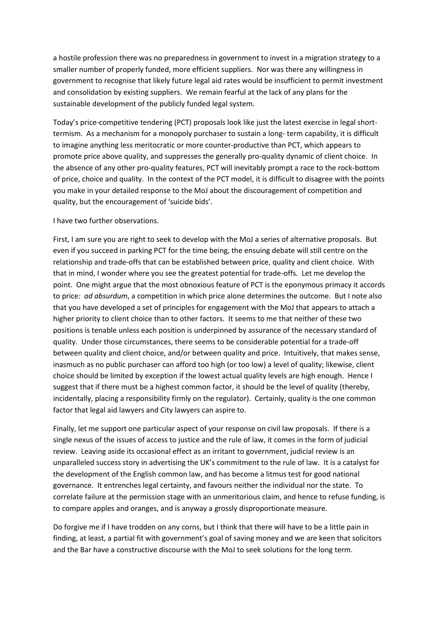a hostile profession there was no preparedness in government to invest in a migration strategy to a smaller number of properly funded, more efficient suppliers. Nor was there any willingness in government to recognise that likely future legal aid rates would be insufficient to permit investment and consolidation by existing suppliers. We remain fearful at the lack of any plans for the sustainable development of the publicly funded legal system.

Today's price-competitive tendering (PCT) proposals look like just the latest exercise in legal shorttermism. As a mechanism for a monopoly purchaser to sustain a long- term capability, it is difficult to imagine anything less meritocratic or more counter-productive than PCT, which appears to promote price above quality, and suppresses the generally pro-quality dynamic of client choice. In the absence of any other pro-quality features, PCT will inevitably prompt a race to the rock-bottom of price, choice and quality. In the context of the PCT model, it is difficult to disagree with the points you make in your detailed response to the MoJ about the discouragement of competition and quality, but the encouragement of 'suicide bids'.

## I have two further observations.

First, I am sure you are right to seek to develop with the MoJ a series of alternative proposals. But even if you succeed in parking PCT for the time being, the ensuing debate will still centre on the relationship and trade-offs that can be established between price, quality and client choice. With that in mind, I wonder where you see the greatest potential for trade-offs. Let me develop the point. One might argue that the most obnoxious feature of PCT is the eponymous primacy it accords to price*: ad absurdum*, a competition in which price alone determines the outcome. But I note also that you have developed a set of principles for engagement with the MoJ that appears to attach a higher priority to client choice than to other factors. It seems to me that neither of these two positions is tenable unless each position is underpinned by assurance of the necessary standard of quality. Under those circumstances, there seems to be considerable potential for a trade-off between quality and client choice, and/or between quality and price. Intuitively, that makes sense, inasmuch as no public purchaser can afford too high (or too low) a level of quality; likewise, client choice should be limited by exception if the lowest actual quality levels are high enough. Hence I suggest that if there must be a highest common factor, it should be the level of quality (thereby, incidentally, placing a responsibility firmly on the regulator). Certainly, quality is the one common factor that legal aid lawyers and City lawyers can aspire to.

Finally, let me support one particular aspect of your response on civil law proposals. If there is a single nexus of the issues of access to justice and the rule of law, it comes in the form of judicial review. Leaving aside its occasional effect as an irritant to government, judicial review is an unparalleled success story in advertising the UK's commitment to the rule of law. It is a catalyst for the development of the English common law, and has become a litmus test for good national governance. It entrenches legal certainty, and favours neither the individual nor the state. To correlate failure at the permission stage with an unmeritorious claim, and hence to refuse funding, is to compare apples and oranges, and is anyway a grossly disproportionate measure.

Do forgive me if I have trodden on any corns, but I think that there will have to be a little pain in finding, at least, a partial fit with government's goal of saving money and we are keen that solicitors and the Bar have a constructive discourse with the MoJ to seek solutions for the long term.